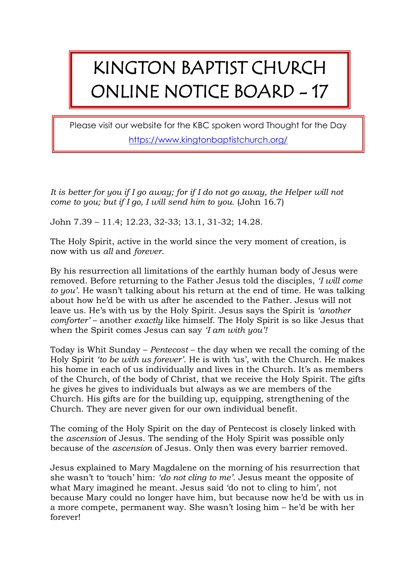## KINGTON BAPTIST CHURCH ONLINE NOTICE BOARD - 17

Please visit our website for the KBC spoken word Thought for the Day <https://www.kingtonbaptistchurch.org/>

*It is better for you if I go away; for if I do not go away, the Helper will not come to you; but if I go, I will send him to you.* (John 16.7)

John 7.39 – 11.4; 12.23, 32-33; 13.1, 31-32; 14.28.

The Holy Spirit, active in the world since the very moment of creation, is now with us *all* and *forever*.

By his resurrection all limitations of the earthly human body of Jesus were removed. Before returning to the Father Jesus told the disciples, *'I will come to you'.* He wasn't talking about his return at the end of time. He was talking about how he'd be with us after he ascended to the Father. Jesus will not leave us. He's with us by the Holy Spirit. Jesus says the Spirit is *'another comforter'* – another *exactly* like himself. The Holy Spirit is so like Jesus that when the Spirit comes Jesus can say *'I am with you'!*

Today is Whit Sunday – *Pentecost* – the day when we recall the coming of the Holy Spirit *'to be with us forever'*. He is with 'us', with the Church. He makes his home in each of us individually and lives in the Church. It's as members of the Church, of the body of Christ, that we receive the Holy Spirit. The gifts he gives he gives to individuals but always as we are members of the Church. His gifts are for the building up, equipping, strengthening of the Church. They are never given for our own individual benefit.

The coming of the Holy Spirit on the day of Pentecost is closely linked with the *ascension* of Jesus. The sending of the Holy Spirit was possible only because of the *ascension* of Jesus. Only then was every barrier removed.

Jesus explained to Mary Magdalene on the morning of his resurrection that she wasn't to 'touch' him: *'do not cling to me'.* Jesus meant the opposite of what Mary imagined he meant. Jesus said 'do not to cling to him', not because Mary could no longer have him, but because now he'd be with us in a more compete, permanent way. She wasn't losing him – he'd be with her forever!